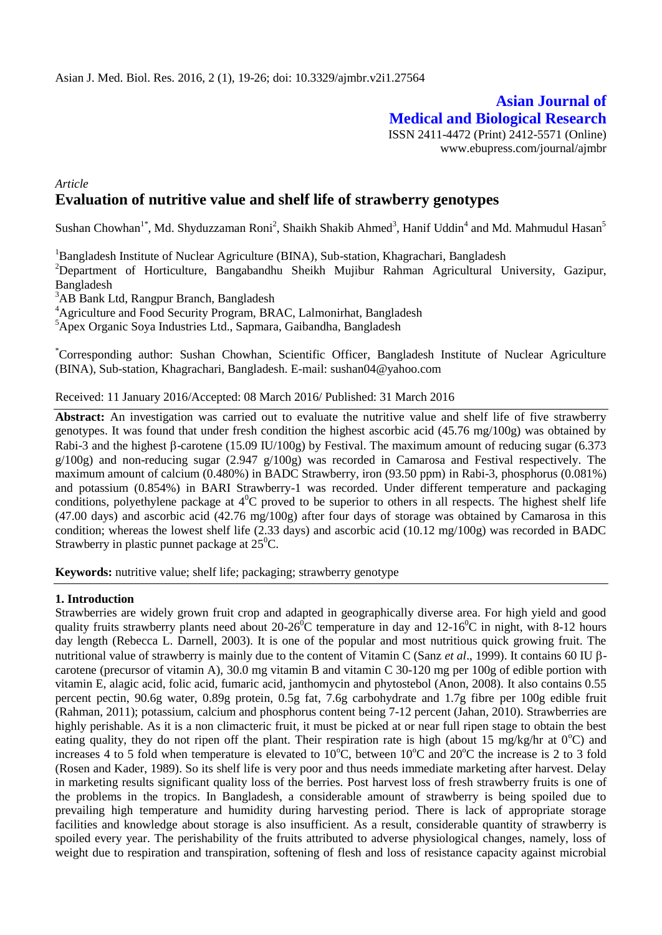# **Asian Journal of Medical and Biological Research** ISSN 2411-4472 (Print) 2412-5571 (Online)

www.ebupress.com/journal/ajmbr

# *Article* **Evaluation of nutritive value and shelf life of strawberry genotypes**

Sushan Chowhan<sup>1\*</sup>, Md. Shyduzzaman Roni<sup>2</sup>, Shaikh Shakib Ahmed<sup>3</sup>, Hanif Uddin<sup>4</sup> and Md. Mahmudul Hasan<sup>5</sup>

<sup>1</sup>Bangladesh Institute of Nuclear Agriculture (BINA), Sub-station, Khagrachari, Bangladesh

<sup>2</sup>Department of Horticulture, Bangabandhu Sheikh Mujibur Rahman Agricultural University, Gazipur, Bangladesh

<sup>3</sup>AB Bank Ltd, Rangpur Branch, Bangladesh

<sup>4</sup>Agriculture and Food Security Program, BRAC, Lalmonirhat, Bangladesh

<sup>5</sup>Apex Organic Soya Industries Ltd., Sapmara, Gaibandha, Bangladesh

\*Corresponding author: Sushan Chowhan, Scientific Officer, Bangladesh Institute of Nuclear Agriculture (BINA), Sub-station, Khagrachari, Bangladesh. E-mail: sushan04@yahoo.com

Received: 11 January 2016/Accepted: 08 March 2016/ Published: 31 March 2016

**Abstract:** An investigation was carried out to evaluate the nutritive value and shelf life of five strawberry genotypes. It was found that under fresh condition the highest ascorbic acid (45.76 mg/100g) was obtained by Rabi-3 and the highest  $\beta$ -carotene (15.09 IU/100g) by Festival. The maximum amount of reducing sugar (6.373 g/100g) and non-reducing sugar (2.947 g/100g) was recorded in Camarosa and Festival respectively. The maximum amount of calcium (0.480%) in BADC Strawberry, iron (93.50 ppm) in Rabi-3, phosphorus (0.081%) and potassium (0.854%) in BARI Strawberry-1 was recorded. Under different temperature and packaging conditions, polyethylene package at  $4^{0}C$  proved to be superior to others in all respects. The highest shelf life (47.00 days) and ascorbic acid (42.76 mg/100g) after four days of storage was obtained by Camarosa in this condition; whereas the lowest shelf life (2.33 days) and ascorbic acid (10.12 mg/100g) was recorded in BADC Strawberry in plastic punnet package at  $25^{\circ}$ C.

**Keywords:** nutritive value; shelf life; packaging; strawberry genotype

### **1. Introduction**

Strawberries are widely grown fruit crop and adapted in geographically diverse area. For high yield and good quality fruits strawberry plants need about  $20\n-26^{\circ}\text{C}$  temperature in day and  $12\n-16^{\circ}\text{C}$  in night, with 8-12 hours day length (Rebecca L. Darnell, 2003). It is one of the popular and most nutritious quick growing fruit. The nutritional value of strawberry is mainly due to the content of Vitamin C (Sanz *et al.*, 1999). It contains 60 IU βcarotene (precursor of vitamin A), 30.0 mg vitamin B and vitamin C 30-120 mg per 100g of edible portion with vitamin E, alagic acid, folic acid, fumaric acid, janthomycin and phytostebol (Anon, 2008). It also contains 0.55 percent pectin, 90.6g water, 0.89g protein, 0.5g fat, 7.6g carbohydrate and 1.7g fibre per 100g edible fruit (Rahman, 2011); potassium, calcium and phosphorus content being 7-12 percent (Jahan, 2010). Strawberries are highly perishable. As it is a non climacteric fruit, it must be picked at or near full ripen stage to obtain the best eating quality, they do not ripen off the plant. Their respiration rate is high (about 15 mg/kg/hr at  $0^{\circ}$ C) and increases 4 to 5 fold when temperature is elevated to  $10^{\circ}$ C, between  $10^{\circ}$ C and  $20^{\circ}$ C the increase is 2 to 3 fold (Rosen and Kader, 1989). So its shelf life is very poor and thus needs immediate marketing after harvest. Delay in marketing results significant quality loss of the berries. Post harvest loss of fresh strawberry fruits is one of the problems in the tropics. In Bangladesh, a considerable amount of strawberry is being spoiled due to prevailing high temperature and humidity during harvesting period. There is lack of appropriate storage facilities and knowledge about storage is also insufficient. As a result, considerable quantity of strawberry is spoiled every year. The perishability of the fruits attributed to adverse physiological changes, namely, loss of weight due to respiration and transpiration, softening of flesh and loss of resistance capacity against microbial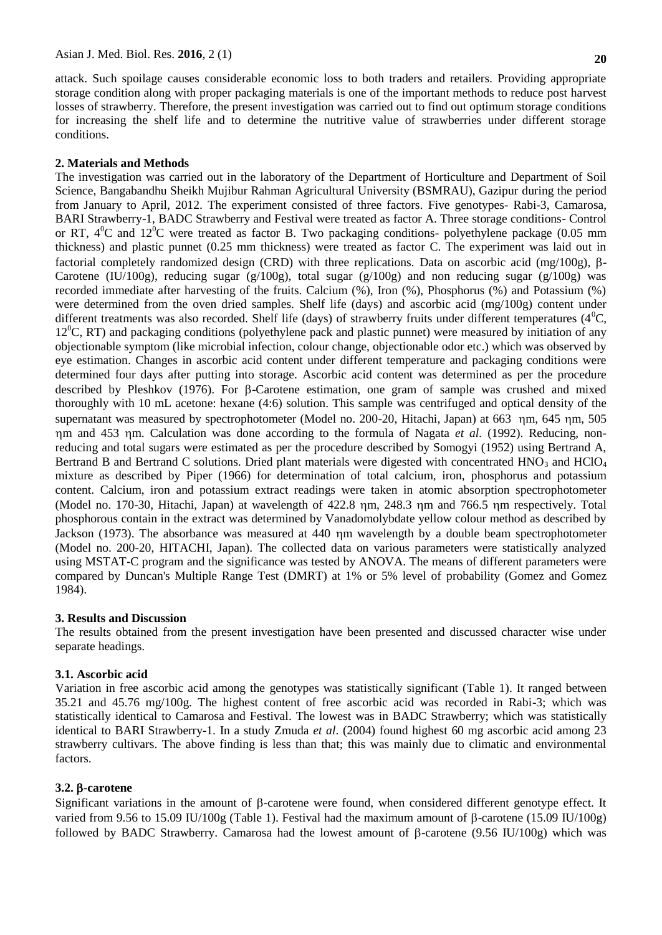attack. Such spoilage causes considerable economic loss to both traders and retailers. Providing appropriate storage condition along with proper packaging materials is one of the important methods to reduce post harvest losses of strawberry. Therefore, the present investigation was carried out to find out optimum storage conditions for increasing the shelf life and to determine the nutritive value of strawberries under different storage conditions.

### **2. Materials and Methods**

The investigation was carried out in the laboratory of the Department of Horticulture and Department of Soil Science, Bangabandhu Sheikh Mujibur Rahman Agricultural University (BSMRAU), Gazipur during the period from January to April, 2012. The experiment consisted of three factors. Five genotypes- Rabi-3, Camarosa, BARI Strawberry-1, BADC Strawberry and Festival were treated as factor A. Three storage conditions- Control or RT,  $4^{\circ}$ C and  $12^{\circ}$ C were treated as factor B. Two packaging conditions- polyethylene package (0.05 mm thickness) and plastic punnet (0.25 mm thickness) were treated as factor C. The experiment was laid out in factorial completely randomized design (CRD) with three replications. Data on ascorbic acid (mg/100g),  $\beta$ -Carotene (IU/100g), reducing sugar (g/100g), total sugar (g/100g) and non reducing sugar (g/100g) was recorded immediate after harvesting of the fruits. Calcium (%), Iron (%), Phosphorus (%) and Potassium (%) were determined from the oven dried samples. Shelf life (days) and ascorbic acid (mg/100g) content under different treatments was also recorded. Shelf life (days) of strawberry fruits under different temperatures ( $4^{\circ}$ C,  $12^{\circ}$ C, RT) and packaging conditions (polyethylene pack and plastic punnet) were measured by initiation of any objectionable symptom (like microbial infection, colour change, objectionable odor etc.) which was observed by eye estimation. Changes in ascorbic acid content under different temperature and packaging conditions were determined four days after putting into storage. Ascorbic acid content was determined as per the procedure described by Pleshkov (1976). For  $\beta$ -Carotene estimation, one gram of sample was crushed and mixed thoroughly with 10 mL acetone: hexane (4:6) solution. This sample was centrifuged and optical density of the supernatant was measured by spectrophotometer (Model no. 200-20, Hitachi, Japan) at 663 nm, 645 nm, 505 nm and 453 nm. Calculation was done according to the formula of Nagata *et al.* (1992). Reducing, nonreducing and total sugars were estimated as per the procedure described by Somogyi (1952) using Bertrand A, Bertrand B and Bertrand C solutions. Dried plant materials were digested with concentrated  $HNO<sub>3</sub>$  and  $HClO<sub>4</sub>$ mixture as described by Piper (1966) for determination of total calcium, iron, phosphorus and potassium content. Calcium, iron and potassium extract readings were taken in atomic absorption spectrophotometer (Model no. 170-30, Hitachi, Japan) at wavelength of 422.8 nm, 248.3 nm and 766.5 nm respectively. Total phosphorous contain in the extract was determined by Vanadomolybdate yellow colour method as described by Jackson (1973). The absorbance was measured at 440 nm wavelength by a double beam spectrophotometer (Model no. 200-20, HITACHI, Japan). The collected data on various parameters were statistically analyzed using MSTAT-C program and the significance was tested by ANOVA. The means of different parameters were compared by Duncan's Multiple Range Test (DMRT) at 1% or 5% level of probability (Gomez and Gomez 1984).

### **3. Results and Discussion**

The results obtained from the present investigation have been presented and discussed character wise under separate headings.

# **3.1. Ascorbic acid**

Variation in free ascorbic acid among the genotypes was statistically significant (Table 1). It ranged between 35.21 and 45.76 mg/100g. The highest content of free ascorbic acid was recorded in Rabi-3; which was statistically identical to Camarosa and Festival. The lowest was in BADC Strawberry; which was statistically identical to BARI Strawberry-1. In a study Zmuda *et al*. (2004) found highest 60 mg ascorbic acid among 23 strawberry cultivars. The above finding is less than that; this was mainly due to climatic and environmental factors.

### **3.2. -carotene**

Significant variations in the amount of  $\beta$ -carotene were found, when considered different genotype effect. It varied from 9.56 to 15.09 IU/100g (Table 1). Festival had the maximum amount of  $\beta$ -carotene (15.09 IU/100g) followed by BADC Strawberry. Camarosa had the lowest amount of  $\beta$ -carotene (9.56 IU/100g) which was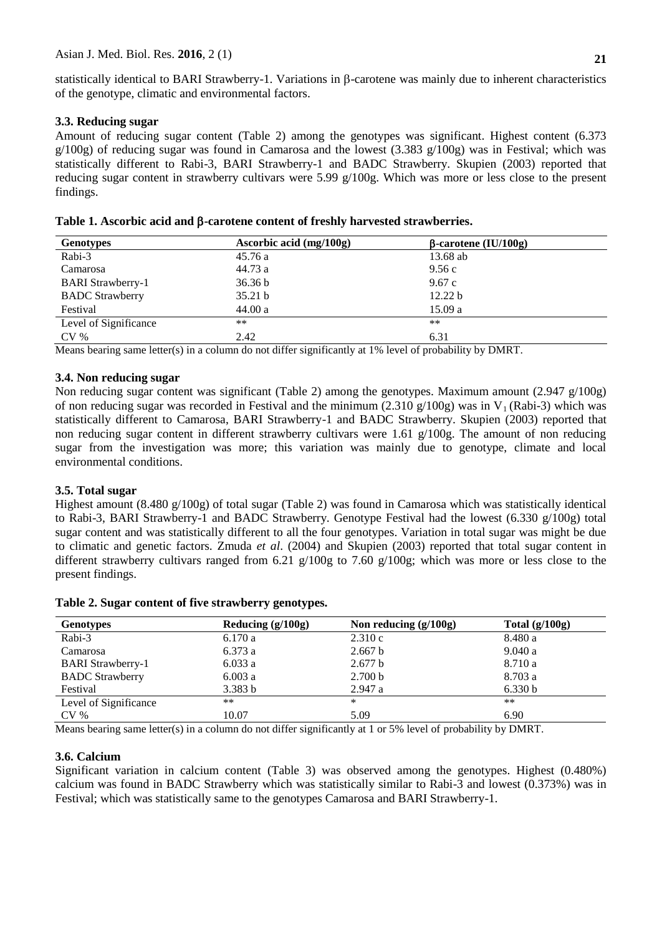statistically identical to BARI Strawberry-1. Variations in  $\beta$ -carotene was mainly due to inherent characteristics of the genotype, climatic and environmental factors.

# **3.3. Reducing sugar**

Amount of reducing sugar content (Table 2) among the genotypes was significant. Highest content (6.373  $g/100g$ ) of reducing sugar was found in Camarosa and the lowest (3.383  $g/100g$ ) was in Festival; which was statistically different to Rabi-3, BARI Strawberry-1 and BADC Strawberry. Skupien (2003) reported that reducing sugar content in strawberry cultivars were 5.99 g/100g. Which was more or less close to the present findings.

| Table 1. Ascorbic acid and $\beta$ -carotene content of freshly harvested strawberries. |
|-----------------------------------------------------------------------------------------|
|                                                                                         |

| <b>Genotypes</b>         | Ascorbic acid (mg/100g) | $\beta$ -carotene (IU/100g) |
|--------------------------|-------------------------|-----------------------------|
| Rabi-3                   | 45.76 a                 | 13.68 ab                    |
| Camarosa                 | 44.73 a                 | 9.56 c                      |
| <b>BARI</b> Strawberry-1 | 36.36 b                 | 9.67c                       |
| <b>BADC</b> Strawberry   | 35.21 b                 | 12.22 b                     |
| Festival                 | 44.00a                  | 15.09a                      |
| Level of Significance    | **                      | **                          |
| CV <sub>%</sub>          | 2.42                    | 6.31                        |

Means bearing same letter(s) in a column do not differ significantly at 1% level of probability by DMRT.

# **3.4. Non reducing sugar**

Non reducing sugar content was significant (Table 2) among the genotypes. Maximum amount (2.947 g/100g) of non reducing sugar was recorded in Festival and the minimum (2.310 g/100g) was in  $V_1$  (Rabi-3) which was statistically different to Camarosa, BARI Strawberry-1 and BADC Strawberry. Skupien (2003) reported that non reducing sugar content in different strawberry cultivars were 1.61  $g/100g$ . The amount of non reducing sugar from the investigation was more; this variation was mainly due to genotype, climate and local environmental conditions.

# **3.5. Total sugar**

Highest amount (8.480 g/100g) of total sugar (Table 2) was found in Camarosa which was statistically identical to Rabi-3, BARI Strawberry-1 and BADC Strawberry. Genotype Festival had the lowest (6.330  $g/100g$ ) total sugar content and was statistically different to all the four genotypes. Variation in total sugar was might be due to climatic and genetic factors. Zmuda *et al*. (2004) and Skupien (2003) reported that total sugar content in different strawberry cultivars ranged from 6.21  $g/100g$  to 7.60  $g/100g$ ; which was more or less close to the present findings.

**Table 2. Sugar content of five strawberry genotypes.**

| <b>Genotypes</b>         | Reducing $(g/100g)$ | Non reducing $(g/100g)$ | Total $(g/100g)$ |
|--------------------------|---------------------|-------------------------|------------------|
| Rabi-3                   | 6.170a              | 2.310c                  | 8.480 a          |
| Camarosa                 | 6.373a              | 2.667 b                 | 9.040a           |
| <b>BARI</b> Strawberry-1 | 6.033a              | 2.677 b                 | 8.710 a          |
| <b>BADC</b> Strawberry   | 6.003a              | 2.700 b                 | 8.703 a          |
| Festival                 | 3.383 b             | 2.947a                  | 6.330 b          |
| Level of Significance    | **                  | *                       | $***$            |
| CV <sub>%</sub>          | 10.07               | 5.09                    | 6.90             |

Means bearing same letter(s) in a column do not differ significantly at 1 or 5% level of probability by DMRT.

### **3.6. Calcium**

Significant variation in calcium content (Table 3) was observed among the genotypes. Highest (0.480%) calcium was found in BADC Strawberry which was statistically similar to Rabi-3 and lowest (0.373%) was in Festival; which was statistically same to the genotypes Camarosa and BARI Strawberry-1.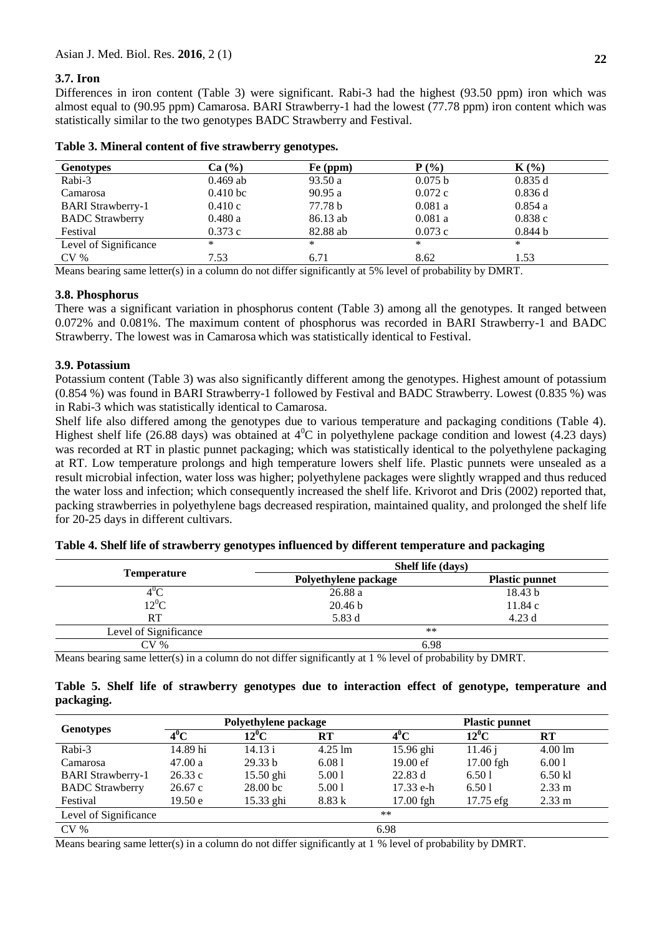# **3.7. Iron**

Differences in iron content (Table 3) were significant. Rabi-3 had the highest (93.50 ppm) iron which was almost equal to (90.95 ppm) Camarosa. BARI Strawberry-1 had the lowest (77.78 ppm) iron content which was statistically similar to the two genotypes BADC Strawberry and Festival.

| <b>Genotypes</b>         | Ca (%)     | Fe (ppm) | $P(\%)$ | $K(\%)$ |
|--------------------------|------------|----------|---------|---------|
| Rabi-3                   | $0.469$ ab | 93.50a   | 0.075 b | 0.835 d |
| Camarosa                 | $0.410$ bc | 90.95a   | 0.072c  | 0.836d  |
| <b>BARI</b> Strawberry-1 | 0.410c     | 77.78 b  | 0.081a  | 0.854a  |
| <b>BADC</b> Strawberry   | 0.480a     | 86.13 ab | 0.081a  | 0.838c  |
| Festival                 | 0.373c     | 82.88 ab | 0.073c  | 0.844 b |
| Level of Significance    | *          | *        | *       | *       |
| CV <sub>%</sub>          | 7.53       | 6.71     | 8.62    | 1.53    |

## **Table 3. Mineral content of five strawberry genotypes.**

Means bearing same letter(s) in a column do not differ significantly at 5% level of probability by DMRT.

## **3.8. Phosphorus**

There was a significant variation in phosphorus content (Table 3) among all the genotypes. It ranged between 0.072% and 0.081%. The maximum content of phosphorus was recorded in BARI Strawberry-1 and BADC Strawberry. The lowest was in Camarosa which was statistically identical to Festival.

# **3.9. Potassium**

Potassium content (Table 3) was also significantly different among the genotypes. Highest amount of potassium (0.854 %) was found in BARI Strawberry-1 followed by Festival and BADC Strawberry. Lowest (0.835 %) was in Rabi-3 which was statistically identical to Camarosa.

Shelf life also differed among the genotypes due to various temperature and packaging conditions (Table 4). Highest shelf life (26.88 days) was obtained at  $4^{\circ}$ C in polyethylene package condition and lowest (4.23 days) was recorded at RT in plastic punnet packaging; which was statistically identical to the polyethylene packaging at RT. Low temperature prolongs and high temperature lowers shelf life. Plastic punnets were unsealed as a result microbial infection, water loss was higher; polyethylene packages were slightly wrapped and thus reduced the water loss and infection; which consequently increased the shelf life. Krivorot and Dris (2002) reported that, packing strawberries in polyethylene bags decreased respiration, maintained quality, and prolonged the shelf life for 20-25 days in different cultivars.

|                       | Shelf life (days)    |                       |  |  |  |  |
|-----------------------|----------------------|-----------------------|--|--|--|--|
| Temperature           | Polyethylene package | <b>Plastic punnet</b> |  |  |  |  |
|                       | 26.88 a              | 18.43 b               |  |  |  |  |
| $12^0C$               | 20.46 <sub>b</sub>   | 11.84c                |  |  |  |  |
| RT                    | 5.83 d               | 4.23d                 |  |  |  |  |
| Level of Significance | $***$                |                       |  |  |  |  |
| CV %                  | 6.98                 |                       |  |  |  |  |

### **Table 4. Shelf life of strawberry genotypes influenced by different temperature and packaging**

Means bearing same letter(s) in a column do not differ significantly at 1 % level of probability by DMRT.

|            |  |  |  |  |  |  | Table 5. Shelf life of strawberry genotypes due to interaction effect of genotype, temperature and |  |
|------------|--|--|--|--|--|--|----------------------------------------------------------------------------------------------------|--|
| packaging. |  |  |  |  |  |  |                                                                                                    |  |

| <b>Genotypes</b>         |                   | Polyethylene package             |                   | <b>Plastic punnet</b> |           |                   |  |  |
|--------------------------|-------------------|----------------------------------|-------------------|-----------------------|-----------|-------------------|--|--|
|                          | $\overline{4}^0C$ | $12^0C$<br>$\mathbf{R}$ <b>T</b> |                   | $4^0$ C               | $12^0C$   | RT                |  |  |
| Rabi-3                   | 14.89 hi          | 14.13 i                          | $4.25 \text{ lm}$ | 15.96 ghi             | 11.46 i   | $4.00 \text{ lm}$ |  |  |
| Camarosa                 | 47.00a            | 29.33 b                          | 6.081             | $19.00 \text{ e}$ f   | 17.00 fgh | 6.001             |  |  |
| <b>BARI</b> Strawberry-1 | 26.33c            | $15.50$ ghi                      | 5.001             | 22.83 d               | 6.501     | 6.50 kl           |  |  |
| <b>BADC</b> Strawberry   | 26.67c            | 28.00 <sub>bc</sub>              | 5.001             | 17.33 e-h             | 6.501     | $2.33 \text{ m}$  |  |  |
| Festival                 | 19.50 e           | 15.33 ghi                        | 8.83k             | $17.00$ fgh           | 17.75 efg | $2.33 \text{ m}$  |  |  |
| Level of Significance    |                   |                                  |                   | $***$                 |           |                   |  |  |
| $CV\%$                   |                   |                                  |                   | 6.98                  |           |                   |  |  |

Means bearing same letter(s) in a column do not differ significantly at 1 % level of probability by DMRT.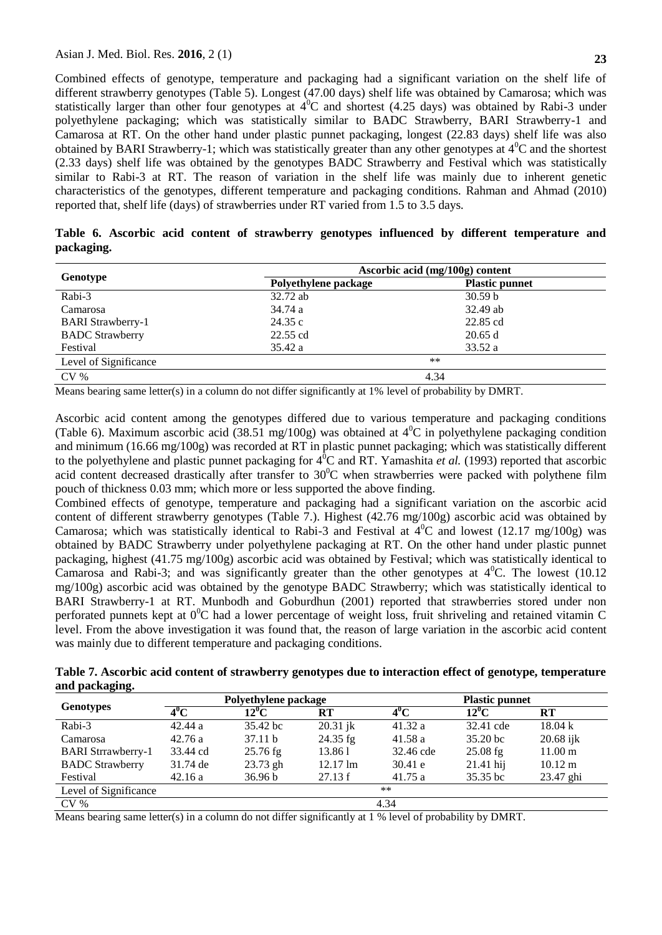Combined effects of genotype, temperature and packaging had a significant variation on the shelf life of different strawberry genotypes (Table 5). Longest (47.00 days) shelf life was obtained by Camarosa; which was statistically larger than other four genotypes at  $4^{\circ}$ C and shortest (4.25 days) was obtained by Rabi-3 under polyethylene packaging; which was statistically similar to BADC Strawberry, BARI Strawberry-1 and Camarosa at RT. On the other hand under plastic punnet packaging, longest (22.83 days) shelf life was also obtained by BARI Strawberry-1; which was statistically greater than any other genotypes at  $4^0C$  and the shortest (2.33 days) shelf life was obtained by the genotypes BADC Strawberry and Festival which was statistically similar to Rabi-3 at RT. The reason of variation in the shelf life was mainly due to inherent genetic characteristics of the genotypes, different temperature and packaging conditions. Rahman and Ahmad (2010) reported that, shelf life (days) of strawberries under RT varied from 1.5 to 3.5 days.

|            |  |  |  |  |  | Table 6. Ascorbic acid content of strawberry genotypes influenced by different temperature and |  |
|------------|--|--|--|--|--|------------------------------------------------------------------------------------------------|--|
| packaging. |  |  |  |  |  |                                                                                                |  |

|                          |                      | Ascorbic acid (mg/100g) content |
|--------------------------|----------------------|---------------------------------|
| Genotype                 | Polyethylene package | <b>Plastic punnet</b>           |
| Rabi-3                   | 32.72 ab             | 30.59 <sub>b</sub>              |
| Camarosa                 | 34.74 a              | $32.49$ ab                      |
| <b>BARI</b> Strawberry-1 | 24.35c               | 22.85 cd                        |
| <b>BADC</b> Strawberry   | 22.55 cd             | 20.65 d                         |
| Festival                 | 35.42 a              | 33.52 a                         |
| Level of Significance    |                      | $***$                           |
| $CV\%$                   |                      | 4.34                            |

Means bearing same letter(s) in a column do not differ significantly at 1% level of probability by DMRT.

Ascorbic acid content among the genotypes differed due to various temperature and packaging conditions (Table 6). Maximum ascorbic acid (38.51 mg/100g) was obtained at  $4^{\circ}$ C in polyethylene packaging condition and minimum (16.66 mg/100g) was recorded at RT in plastic punnet packaging; which was statistically different to the polyethylene and plastic punnet packaging for  $4^{0}C$  and RT. Yamashita *et al.* (1993) reported that ascorbic acid content decreased drastically after transfer to  $30^{\circ}$ C when strawberries were packed with polythene film pouch of thickness 0.03 mm; which more or less supported the above finding.

Combined effects of genotype, temperature and packaging had a significant variation on the ascorbic acid content of different strawberry genotypes (Table 7.). Highest (42.76 mg/100g) ascorbic acid was obtained by Camarosa; which was statistically identical to Rabi-3 and Festival at  $4^0C$  and lowest (12.17 mg/100g) was obtained by BADC Strawberry under polyethylene packaging at RT. On the other hand under plastic punnet packaging, highest (41.75 mg/100g) ascorbic acid was obtained by Festival; which was statistically identical to Camarosa and Rabi-3; and was significantly greater than the other genotypes at  $4^{\circ}$ C. The lowest (10.12) mg/100g) ascorbic acid was obtained by the genotype BADC Strawberry; which was statistically identical to BARI Strawberry-1 at RT. Munbodh and Goburdhun (2001) reported that strawberries stored under non perforated punnets kept at  $0^{\circ}$ C had a lower percentage of weight loss, fruit shriveling and retained vitamin C level. From the above investigation it was found that, the reason of large variation in the ascorbic acid content was mainly due to different temperature and packaging conditions.

**Table 7. Ascorbic acid content of strawberry genotypes due to interaction effect of genotype, temperature and packaging.**

|                           |          | Polyethylene package |                    | <b>Plastic punnet</b> |                       |                   |  |
|---------------------------|----------|----------------------|--------------------|-----------------------|-----------------------|-------------------|--|
| <b>Genotypes</b>          | $4^0C$   | $12^0C$              | $_{\rm RT}$        | $4^0C$                | $12^0C$               | <b>RT</b>         |  |
| Rabi-3                    | 42.44a   | 35.42 bc             | $20.31$ jk         | 41.32 a               | 32.41 cde             | $18.04 \text{ k}$ |  |
| Camarosa                  | 42.76a   | 37.11 b              | $24.35$ fg         | 41.58a                | $35.20 \,\mathrm{bc}$ | $20.68$ ijk       |  |
| <b>BARI</b> Strrawberry-1 | 33.44 cd | $25.76$ fg           | 13.861             | 32.46 cde             | $25.08$ fg            | $11.00 \text{ m}$ |  |
| <b>BADC</b> Strawberry    | 31.74 de | $23.73$ gh           | $12.17 \text{ lm}$ | 30.41 e               | $21.41$ hij           | $10.12 \text{ m}$ |  |
| Festival                  | 42.16a   | 36.96 b              | 27.13 f            | 41.75a                | 35.35 bc              | 23.47 ghi         |  |
| Level of Significance     |          |                      |                    | $**$                  |                       |                   |  |
| $CV\%$                    | 4.34     |                      |                    |                       |                       |                   |  |

Means bearing same letter(s) in a column do not differ significantly at 1 % level of probability by DMRT.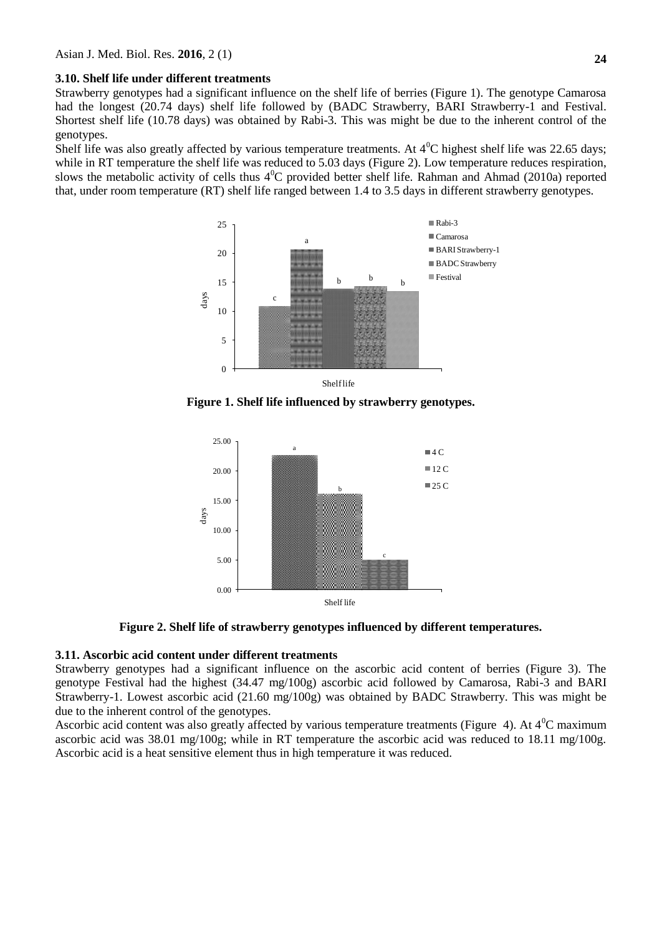## **3.10. Shelf life under different treatments**

Strawberry genotypes had a significant influence on the shelf life of berries (Figure 1). The genotype Camarosa had the longest (20.74 days) shelf life followed by (BADC Strawberry, BARI Strawberry-1 and Festival. Shortest shelf life (10.78 days) was obtained by Rabi-3. This was might be due to the inherent control of the genotypes.

Shelf life was also greatly affected by various temperature treatments. At  $4^{\circ}$ C highest shelf life was 22.65 days; while in RT temperature the shelf life was reduced to 5.03 days (Figure 2). Low temperature reduces respiration, slows the metabolic activity of cells thus  $4^0C$  provided better shelf life. Rahman and Ahmad (2010a) reported that, under room temperature (RT) shelf life ranged between 1.4 to 3.5 days in different strawberry genotypes.



**Figure 1. Shelf life influenced by strawberry genotypes.**



**Figure 2. Shelf life of strawberry genotypes influenced by different temperatures.**

# **3.11. Ascorbic acid content under different treatments**

Strawberry genotypes had a significant influence on the ascorbic acid content of berries (Figure 3). The genotype Festival had the highest (34.47 mg/100g) ascorbic acid followed by Camarosa, Rabi-3 and BARI Strawberry-1. Lowest ascorbic acid (21.60 mg/100g) was obtained by BADC Strawberry. This was might be due to the inherent control of the genotypes.

Ascorbic acid content was also greatly affected by various temperature treatments (Figure 4). At  $4^{\circ}$ C maximum ascorbic acid was 38.01 mg/100g; while in RT temperature the ascorbic acid was reduced to 18.11 mg/100g. Ascorbic acid is a heat sensitive element thus in high temperature it was reduced.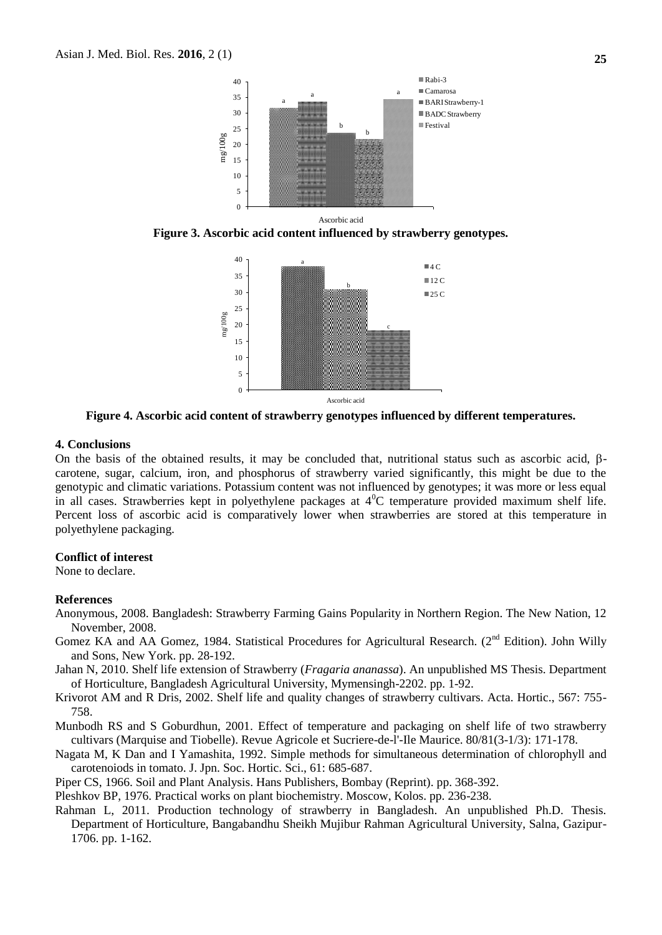

**Figure 3. Ascorbic acid content influenced by strawberry genotypes.**



**Figure 4. Ascorbic acid content of strawberry genotypes influenced by different temperatures.**

### **4. Conclusions**

On the basis of the obtained results, it may be concluded that, nutritional status such as ascorbic acid,  $\beta$ carotene, sugar, calcium, iron, and phosphorus of strawberry varied significantly, this might be due to the genotypic and climatic variations. Potassium content was not influenced by genotypes; it was more or less equal in all cases. Strawberries kept in polyethylene packages at  $4^{\circ}$ C temperature provided maximum shelf life. Percent loss of ascorbic acid is comparatively lower when strawberries are stored at this temperature in polyethylene packaging.

#### **Conflict of interest**

None to declare.

#### **References**

- Anonymous, 2008. Bangladesh: Strawberry Farming Gains Popularity in Northern Region. The New Nation, 12 November, 2008.
- Gomez KA and AA Gomez, 1984. Statistical Procedures for Agricultural Research. (2<sup>nd</sup> Edition). John Willy and Sons, New York. pp. 28-192.
- Jahan N, 2010. Shelf life extension of Strawberry (*Fragaria ananassa*). An unpublished MS Thesis. Department of Horticulture, Bangladesh Agricultural University, Mymensingh-2202. pp. 1-92.
- Krivorot AM and R Dris, 2002. Shelf life and quality changes of strawberry cultivars. Acta. Hortic., 567: 755- 758.
- Munbodh RS and S Goburdhun, 2001. Effect of temperature and packaging on shelf life of two strawberry cultivars (Marquise and Tiobelle). Revue Agricole et Sucriere-de-l'-Ile Maurice. 80/81(3-1/3): 171-178.
- Nagata M, K Dan and I Yamashita, 1992. Simple methods for simultaneous determination of chlorophyll and carotenoiods in tomato. J. Jpn. Soc. Hortic. Sci., 61: 685-687.
- Piper CS, 1966. Soil and Plant Analysis. Hans Publishers, Bombay (Reprint). pp. 368-392.

Pleshkov BP, 1976. Practical works on plant biochemistry. Moscow, Kolos. pp. 236-238.

Rahman L, 2011. Production technology of strawberry in Bangladesh. An unpublished Ph.D. Thesis. Department of Horticulture, Bangabandhu Sheikh Mujibur Rahman Agricultural University, Salna, Gazipur-1706. pp. 1-162.